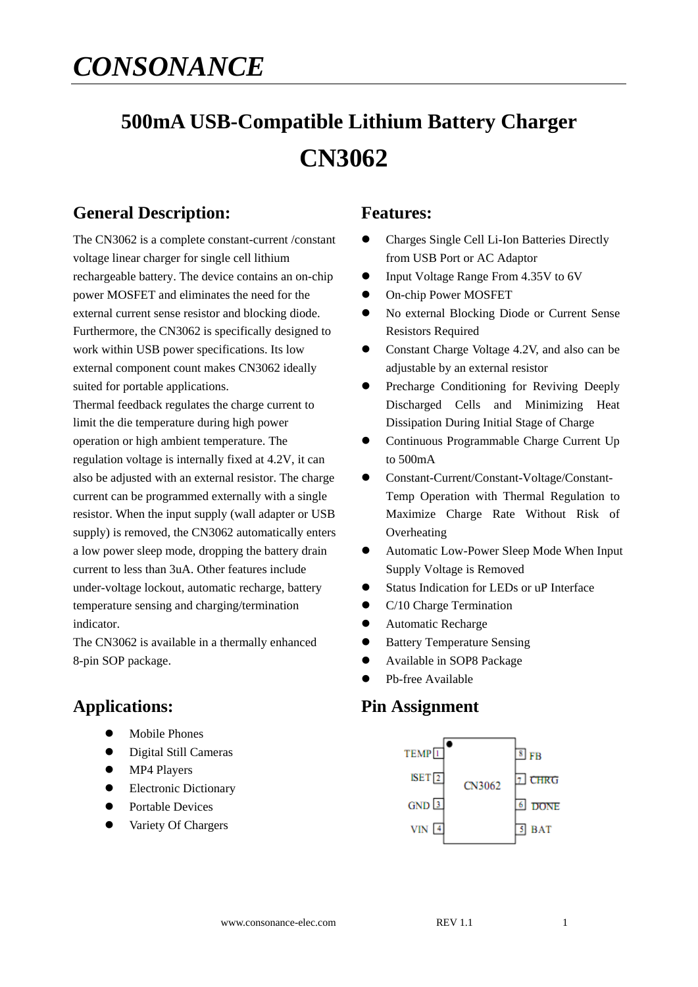# *CONSONANCE*

# **500mA USB-Compatible Lithium Battery Charger CN3062**

# **General Description:**

The CN3062 is a complete constant-current /constant voltage linear charger for single cell lithium rechargeable battery. The device contains an on-chip power MOSFET and eliminates the need for the external current sense resistor and blocking diode. Furthermore, the CN3062 is specifically designed to work within USB power specifications. Its low external component count makes CN3062 ideally suited for portable applications.

Thermal feedback regulates the charge current to limit the die temperature during high power operation or high ambient temperature. The regulation voltage is internally fixed at 4.2V, it can also be adjusted with an external resistor. The charge current can be programmed externally with a single resistor. When the input supply (wall adapter or USB supply) is removed, the CN3062 automatically enters a low power sleep mode, dropping the battery drain current to less than 3uA. Other features include under-voltage lockout, automatic recharge, battery temperature sensing and charging/termination indicator.

The CN3062 is available in a thermally enhanced 8-pin SOP package.

## **Applications:**

- Mobile Phones
- Digital Still Cameras
- MP4 Players
- Electronic Dictionary
- Portable Devices
- Variety Of Chargers

### **Features:**

- Charges Single Cell Li-Ion Batteries Directly from USB Port or AC Adaptor
- Input Voltage Range From 4.35V to 6V
- On-chip Power MOSFET
- No external Blocking Diode or Current Sense Resistors Required
- Constant Charge Voltage 4.2V, and also can be adjustable by an external resistor
- **•** Precharge Conditioning for Reviving Deeply Discharged Cells and Minimizing Heat Dissipation During Initial Stage of Charge
- Continuous Programmable Charge Current Up to 500mA
- Constant-Current/Constant-Voltage/Constant-Temp Operation with Thermal Regulation to Maximize Charge Rate Without Risk of **Overheating**
- Automatic Low-Power Sleep Mode When Input Supply Voltage is Removed
- Status Indication for LEDs or uP Interface
- C/10 Charge Termination
- Automatic Recharge
- **•** Battery Temperature Sensing
- Available in SOP8 Package
- Pb-free Available

## **Pin Assignment**

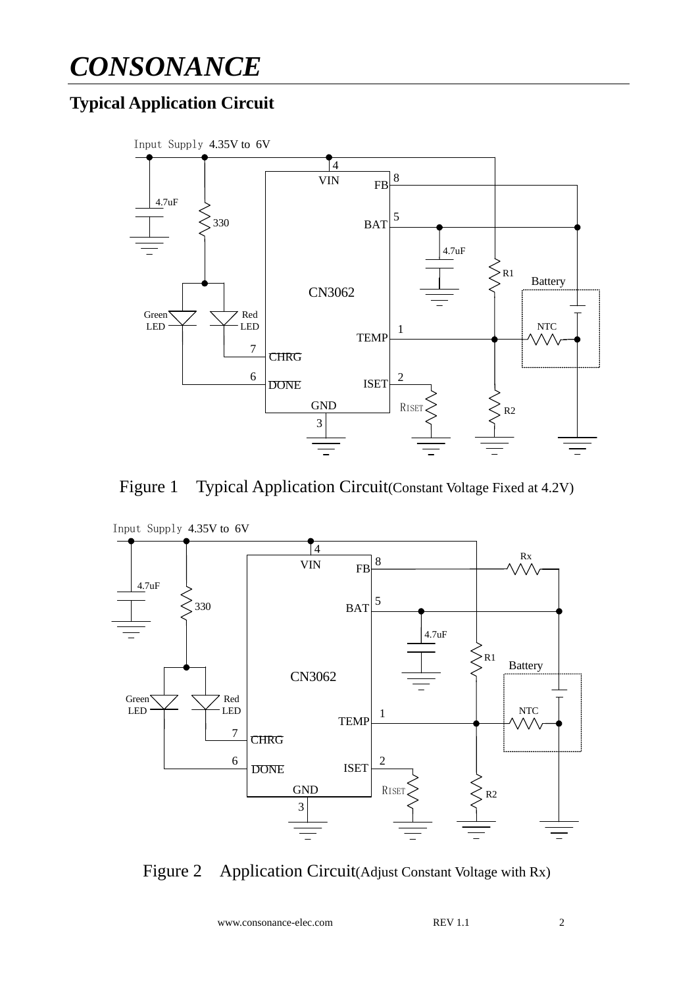# *CONSONANCE*

# **Typical Application Circuit**







Figure 2 Application Circuit(Adjust Constant Voltage with Rx)

www.consonance-elec.com REV 1.1 2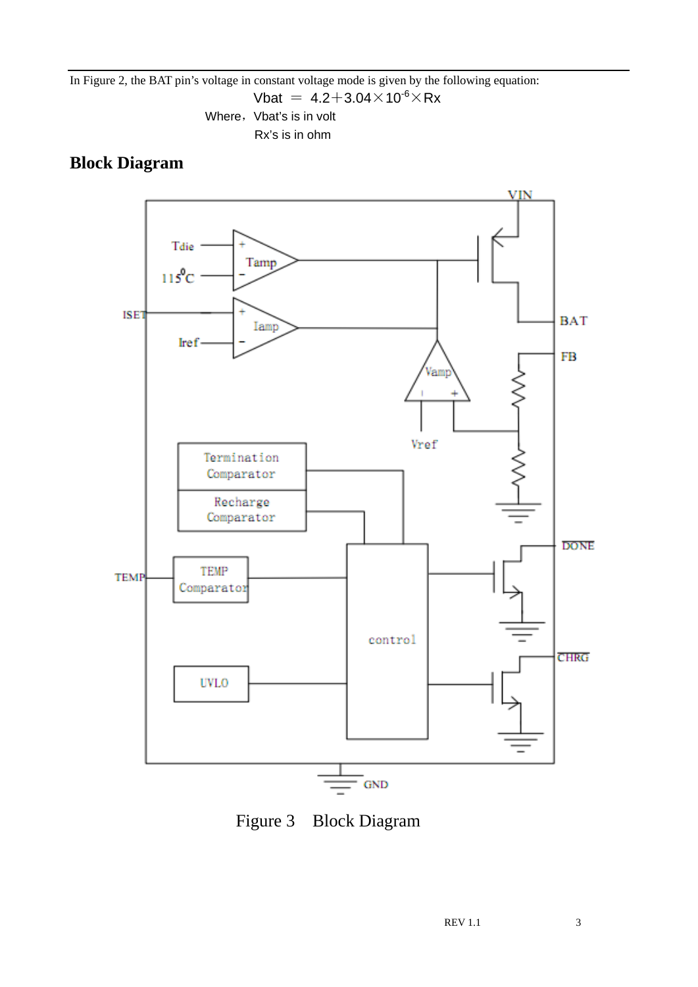#### In Figure 2, the BAT pin's voltage in constant voltage mode is given by the following equation:

Vbat =  $4.2+3.04\times10^{-6}\times$ Rx

Where, Vbat's is in volt Rx's is in ohm

# **Block Diagram**



Figure 3 Block Diagram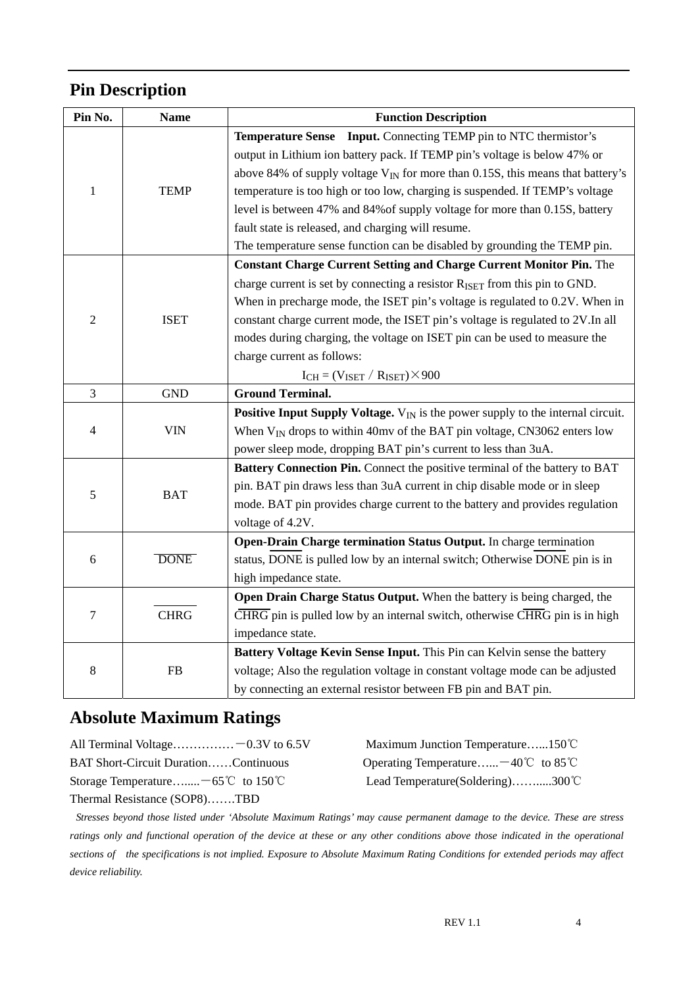# **Pin Description**

| Pin No.          | <b>Name</b> | <b>Function Description</b>                                                                 |  |  |  |
|------------------|-------------|---------------------------------------------------------------------------------------------|--|--|--|
|                  |             | <b>Temperature Sense</b> Input. Connecting TEMP pin to NTC thermistor's                     |  |  |  |
|                  |             | output in Lithium ion battery pack. If TEMP pin's voltage is below 47% or                   |  |  |  |
|                  |             | above 84% of supply voltage $V_{IN}$ for more than 0.15S, this means that battery's         |  |  |  |
| 1                | <b>TEMP</b> | temperature is too high or too low, charging is suspended. If TEMP's voltage                |  |  |  |
|                  |             | level is between 47% and 84% of supply voltage for more than 0.15S, battery                 |  |  |  |
|                  |             | fault state is released, and charging will resume.                                          |  |  |  |
|                  |             | The temperature sense function can be disabled by grounding the TEMP pin.                   |  |  |  |
| $\overline{2}$   | <b>ISET</b> | <b>Constant Charge Current Setting and Charge Current Monitor Pin.</b> The                  |  |  |  |
|                  |             | charge current is set by connecting a resistor R <sub>ISET</sub> from this pin to GND.      |  |  |  |
|                  |             | When in precharge mode, the ISET pin's voltage is regulated to 0.2V. When in                |  |  |  |
|                  |             | constant charge current mode, the ISET pin's voltage is regulated to 2V. In all             |  |  |  |
|                  |             | modes during charging, the voltage on ISET pin can be used to measure the                   |  |  |  |
|                  |             | charge current as follows:                                                                  |  |  |  |
|                  |             | $I_{CH} = (V_{ISET} / R_{ISET}) \times 900$                                                 |  |  |  |
| 3                | <b>GND</b>  | <b>Ground Terminal.</b>                                                                     |  |  |  |
|                  | <b>VIN</b>  | <b>Positive Input Supply Voltage.</b> $V_{IN}$ is the power supply to the internal circuit. |  |  |  |
| $\overline{4}$   |             | When $V_{IN}$ drops to within 40mv of the BAT pin voltage, CN3062 enters low                |  |  |  |
|                  |             | power sleep mode, dropping BAT pin's current to less than 3uA.                              |  |  |  |
|                  | <b>BAT</b>  | Battery Connection Pin. Connect the positive terminal of the battery to BAT                 |  |  |  |
|                  |             | pin. BAT pin draws less than 3uA current in chip disable mode or in sleep                   |  |  |  |
| 5                |             | mode. BAT pin provides charge current to the battery and provides regulation                |  |  |  |
|                  |             | voltage of 4.2V.                                                                            |  |  |  |
|                  | <b>DONE</b> | Open-Drain Charge termination Status Output. In charge termination                          |  |  |  |
| 6                |             | status, DONE is pulled low by an internal switch; Otherwise DONE pin is in                  |  |  |  |
|                  |             | high impedance state.                                                                       |  |  |  |
| $\boldsymbol{7}$ | <b>CHRG</b> | Open Drain Charge Status Output. When the battery is being charged, the                     |  |  |  |
|                  |             | CHRG pin is pulled low by an internal switch, otherwise CHRG pin is in high                 |  |  |  |
|                  |             | impedance state.                                                                            |  |  |  |
|                  |             | Battery Voltage Kevin Sense Input. This Pin can Kelvin sense the battery                    |  |  |  |
| $\,8\,$          | FB          | voltage; Also the regulation voltage in constant voltage mode can be adjusted               |  |  |  |
|                  |             | by connecting an external resistor between FB pin and BAT pin.                              |  |  |  |

# **Absolute Maximum Ratings**

All Terminal Voltage……………-- 0.3V to 6.5V Maximum Junction Temperature……150℃

BAT Short-Circuit Duration……Continuous Operating Temperature…... -40℃ to 85℃ Storage Temperature….....-65℃ to 150℃ Lead Temperature(Soldering)…….....300℃

Thermal Resistance (SOP8)…….TBD

*Stresses beyond those listed under 'Absolute Maximum Ratings' may cause permanent damage to the device. These are stress*  ratings only and functional operation of the device at these or any other conditions above those indicated in the operational *sections of the specifications is not implied. Exposure to Absolute Maximum Rating Conditions for extended periods may affect device reliability.*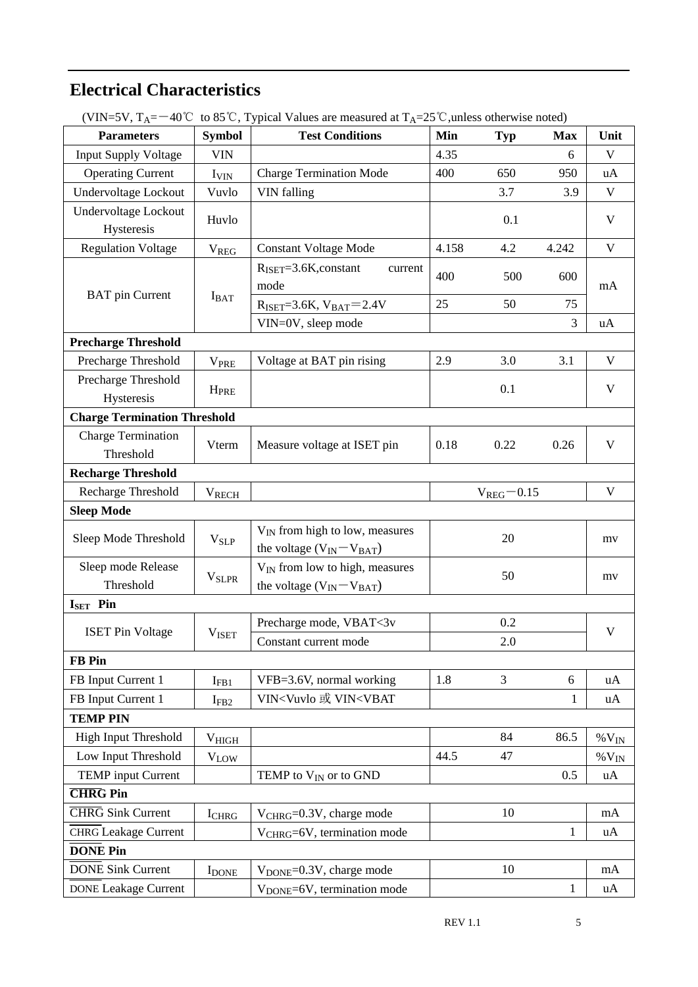# **Electrical Characteristics**

| $($ v $\mu$ v $\rightarrow$ v, $\mu$ $\Lambda$ –<br><b>Parameters</b> | <b>Symbol</b>            | $40 \circ 10$ s $\circ$ , Typical values are measured at $1_A$ -25 $\circ$ , unless otherwise holed)<br><b>Test Conditions</b> | Min        | <b>Typ</b>       | <b>Max</b>   | Unit                 |  |
|-----------------------------------------------------------------------|--------------------------|--------------------------------------------------------------------------------------------------------------------------------|------------|------------------|--------------|----------------------|--|
| <b>Input Supply Voltage</b>                                           | <b>VIN</b>               |                                                                                                                                | 4.35       |                  | 6            | V                    |  |
| <b>Operating Current</b>                                              | I <sub>VIN</sub>         | <b>Charge Termination Mode</b>                                                                                                 | 400        | 650              | 950          | uA                   |  |
| Undervoltage Lockout                                                  | Vuvlo                    | <b>VIN</b> falling<br>3.7                                                                                                      |            | 3.9              | $\mathbf{V}$ |                      |  |
| <b>Undervoltage Lockout</b>                                           |                          |                                                                                                                                |            |                  |              |                      |  |
| Huvlo<br>Hysteresis                                                   |                          |                                                                                                                                |            | 0.1              |              | $\mathbf{V}$         |  |
| <b>Regulation Voltage</b>                                             | <b>V<sub>REG</sub></b>   | <b>Constant Voltage Mode</b>                                                                                                   | 4.158      | 4.2              | 4.242        | $\mathbf{V}$         |  |
|                                                                       |                          | $R_{\text{ISET}}=3.6K$ , constant<br>current                                                                                   | 400<br>500 |                  |              | mA                   |  |
|                                                                       |                          | mode                                                                                                                           |            |                  | 600          |                      |  |
| <b>BAT</b> pin Current                                                | $I_{BAT}$                | $R_{ISET} = 3.6K, V_{BAT} = 2.4V$                                                                                              | 25         | 50               | 75           |                      |  |
|                                                                       |                          | VIN=0V, sleep mode                                                                                                             |            |                  | 3            | uA                   |  |
| <b>Precharge Threshold</b>                                            |                          |                                                                                                                                |            |                  |              |                      |  |
| Precharge Threshold                                                   | <b>V<sub>PRE</sub></b>   | Voltage at BAT pin rising                                                                                                      | 2.9        | 3.0              | 3.1          | $\mathbf{V}$         |  |
| Precharge Threshold                                                   | <b>H</b> <sub>PRE</sub>  |                                                                                                                                |            | 0.1              |              | $\mathbf{V}$         |  |
| Hysteresis                                                            |                          |                                                                                                                                |            |                  |              |                      |  |
| <b>Charge Termination Threshold</b>                                   |                          |                                                                                                                                |            |                  |              |                      |  |
| <b>Charge Termination</b>                                             | Vterm                    | Measure voltage at ISET pin                                                                                                    | 0.18       | 0.22             | 0.26         | V                    |  |
| Threshold                                                             |                          |                                                                                                                                |            |                  |              |                      |  |
| <b>Recharge Threshold</b>                                             |                          |                                                                                                                                |            |                  |              |                      |  |
| Recharge Threshold                                                    | <b>VRECH</b>             |                                                                                                                                |            | $V_{REG} = 0.15$ |              | $\mathbf V$          |  |
| <b>Sleep Mode</b>                                                     |                          |                                                                                                                                |            |                  |              |                      |  |
| Sleep Mode Threshold                                                  | $V_{SLP}$                | $V_{IN}$ from high to low, measures                                                                                            | 20         |                  |              | mv                   |  |
|                                                                       |                          | the voltage $(V_{IN} - V_{BAT})$                                                                                               |            |                  |              |                      |  |
| Sleep mode Release                                                    | <b>V</b> <sub>SLPR</sub> | V <sub>IN</sub> from low to high, measures                                                                                     | 50         |                  | mv           |                      |  |
| Threshold                                                             |                          | the voltage $(V_{IN} - V_{BAT})$                                                                                               |            |                  |              |                      |  |
| $ISET$ Pin                                                            |                          |                                                                                                                                |            |                  |              |                      |  |
| <b>ISET Pin Voltage</b>                                               | <b>VISET</b>             | Precharge mode, VBAT<3v                                                                                                        |            | 0.2              |              | $\mathbf V$          |  |
| <b>FB</b> Pin                                                         |                          | Constant current mode                                                                                                          |            | 2.0              |              |                      |  |
| FB Input Current 1                                                    |                          |                                                                                                                                | 1.8        | 3                | 6            |                      |  |
|                                                                       | $I_{FB1}$                | VFB=3.6V, normal working                                                                                                       |            |                  |              | uA                   |  |
| FB Input Current 1                                                    |                          |                                                                                                                                |            |                  |              |                      |  |
|                                                                       | $I_{FB2}$                | VIN <vuvlo td="" vin<vbat<="" 或=""><td></td><td></td><td>1</td><td>uA</td></vuvlo>                                             |            |                  | 1            | uA                   |  |
| <b>TEMP PIN</b>                                                       |                          |                                                                                                                                |            |                  |              |                      |  |
| <b>High Input Threshold</b>                                           | $V_{HIGH}$               |                                                                                                                                |            | 84               | 86.5         | $\%$ V <sub>IN</sub> |  |
| Low Input Threshold                                                   | $V_{LOW}$                |                                                                                                                                | 44.5       | 47               |              | $\%$ V <sub>IN</sub> |  |
| <b>TEMP</b> input Current                                             |                          | TEMP to $V_{IN}$ or to GND                                                                                                     |            |                  | 0.5          | uA                   |  |
| <b>CHRG</b> Pin                                                       |                          |                                                                                                                                |            |                  |              |                      |  |
| <b>CHRG</b> Sink Current                                              | <b>I</b> CHRG            | V <sub>CHRG</sub> =0.3V, charge mode                                                                                           |            | 10               |              | mA                   |  |
| <b>CHRG</b> Leakage Current                                           |                          | V <sub>CHRG</sub> =6V, termination mode                                                                                        |            |                  | $\mathbf{1}$ | uA                   |  |
| <b>DONE Pin</b>                                                       |                          |                                                                                                                                |            |                  |              |                      |  |
| <b>DONE Sink Current</b><br>DONE Leakage Current                      | <b>I</b> DONE            | V <sub>DONE</sub> =0.3V, charge mode<br>V <sub>DONE</sub> =6V, termination mode                                                |            | 10               | 1            | mA<br>uA             |  |

(VIN=5V,  $T_A = -40^{\circ}$ C, to 85<sup>°</sup>C. Typical Values are measured at  $T_A = 25^{\circ}$ C unless otherwise noted)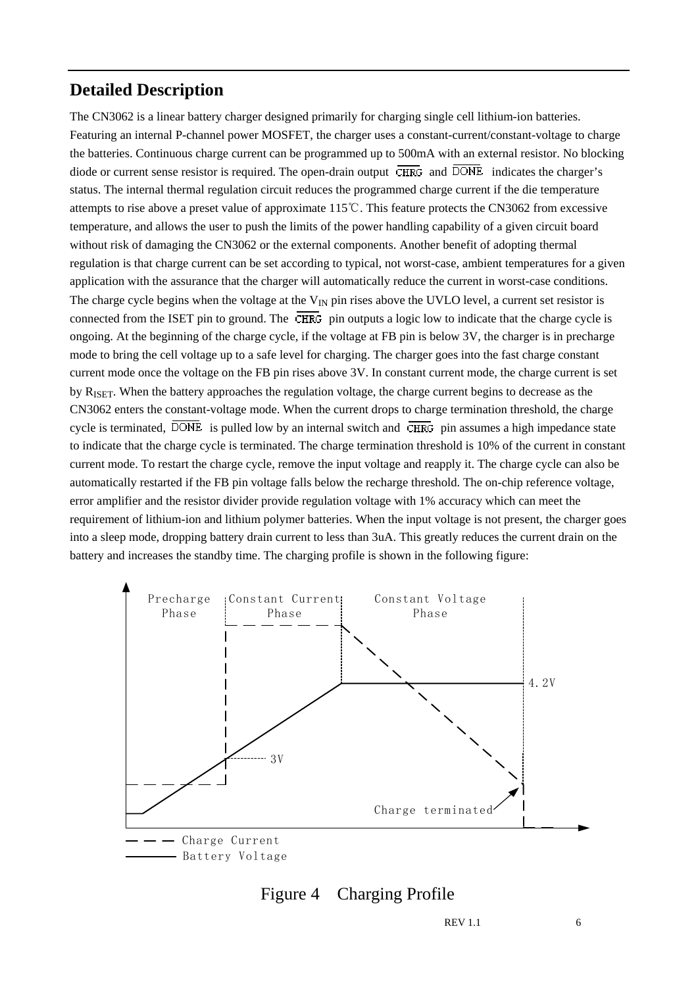## **Detailed Description**

The CN3062 is a linear battery charger designed primarily for charging single cell lithium-ion batteries. Featuring an internal P-channel power MOSFET, the charger uses a constant-current/constant-voltage to charge the batteries. Continuous charge current can be programmed up to 500mA with an external resistor. No blocking diode or current sense resistor is required. The open-drain output  $\overline{\text{CHRG}}$  and  $\overline{\text{DONE}}$  indicates the charger's status. The internal thermal regulation circuit reduces the programmed charge current if the die temperature attempts to rise above a preset value of approximate 115℃. This feature protects the CN3062 from excessive temperature, and allows the user to push the limits of the power handling capability of a given circuit board without risk of damaging the CN3062 or the external components. Another benefit of adopting thermal regulation is that charge current can be set according to typical, not worst-case, ambient temperatures for a given application with the assurance that the charger will automatically reduce the current in worst-case conditions. The charge cycle begins when the voltage at the  $V_{IN}$  pin rises above the UVLO level, a current set resistor is connected from the ISET pin to ground. The  $\overline{\text{CHRG}}$  pin outputs a logic low to indicate that the charge cycle is ongoing. At the beginning of the charge cycle, if the voltage at FB pin is below 3V, the charger is in precharge mode to bring the cell voltage up to a safe level for charging. The charger goes into the fast charge constant current mode once the voltage on the FB pin rises above 3V. In constant current mode, the charge current is set by RISET. When the battery approaches the regulation voltage, the charge current begins to decrease as the CN3062 enters the constant-voltage mode. When the current drops to charge termination threshold, the charge cycle is terminated,  $\overline{DONE}$  is pulled low by an internal switch and  $\overline{CHRG}$  pin assumes a high impedance state to indicate that the charge cycle is terminated. The charge termination threshold is 10% of the current in constant current mode. To restart the charge cycle, remove the input voltage and reapply it. The charge cycle can also be automatically restarted if the FB pin voltage falls below the recharge threshold. The on-chip reference voltage, error amplifier and the resistor divider provide regulation voltage with 1% accuracy which can meet the requirement of lithium-ion and lithium polymer batteries. When the input voltage is not present, the charger goes into a sleep mode, dropping battery drain current to less than 3uA. This greatly reduces the current drain on the battery and increases the standby time. The charging profile is shown in the following figure:





REV 1.1 6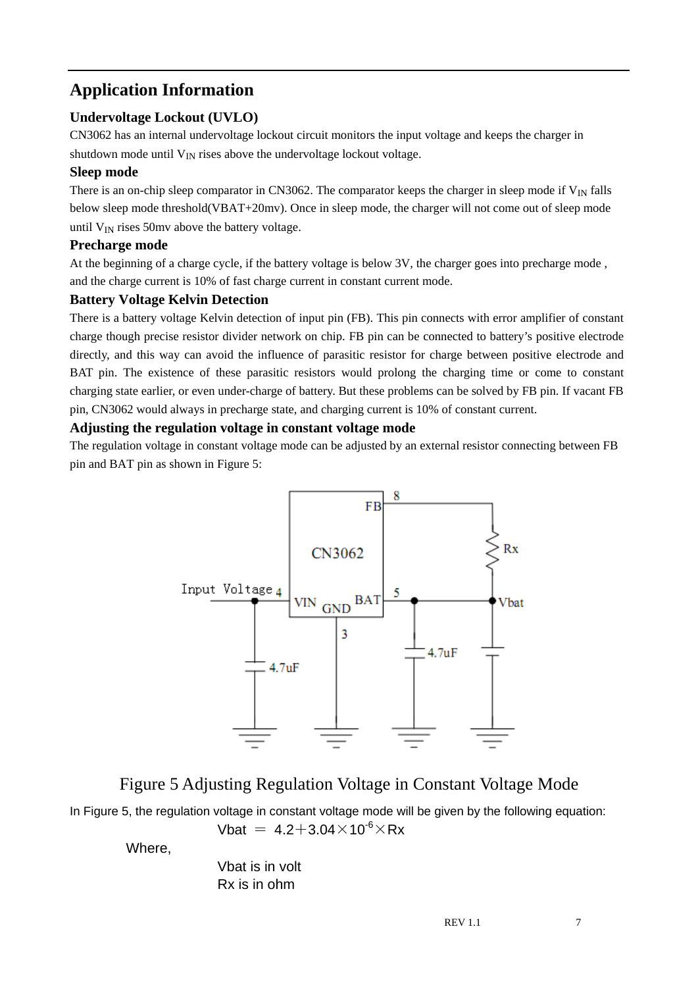# **Application Information**

#### **Undervoltage Lockout (UVLO)**

CN3062 has an internal undervoltage lockout circuit monitors the input voltage and keeps the charger in

shutdown mode until  $V_{IN}$  rises above the undervoltage lockout voltage.

#### **Sleep mode**

There is an on-chip sleep comparator in CN3062. The comparator keeps the charger in sleep mode if  $V_{\text{IN}}$  falls below sleep mode threshold(VBAT+20mv). Once in sleep mode, the charger will not come out of sleep mode until  $V_{IN}$  rises 50mv above the battery voltage.

#### **Precharge mode**

At the beginning of a charge cycle, if the battery voltage is below 3V, the charger goes into precharge mode , and the charge current is 10% of fast charge current in constant current mode.

#### **Battery Voltage Kelvin Detection**

There is a battery voltage Kelvin detection of input pin (FB). This pin connects with error amplifier of constant charge though precise resistor divider network on chip. FB pin can be connected to battery's positive electrode directly, and this way can avoid the influence of parasitic resistor for charge between positive electrode and BAT pin. The existence of these parasitic resistors would prolong the charging time or come to constant charging state earlier, or even under-charge of battery. But these problems can be solved by FB pin. If vacant FB pin, CN3062 would always in precharge state, and charging current is 10% of constant current.

#### **Adjusting the regulation voltage in constant voltage mode**

The regulation voltage in constant voltage mode can be adjusted by an external resistor connecting between FB pin and BAT pin as shown in Figure 5:



# Figure 5 Adjusting Regulation Voltage in Constant Voltage Mode

In Figure 5, the regulation voltage in constant voltage mode will be given by the following equation:

Vbat =  $4.2 + 3.04 \times 10^{-6} \times Rx$ 

Where,

 Vbat is in volt Rx is in ohm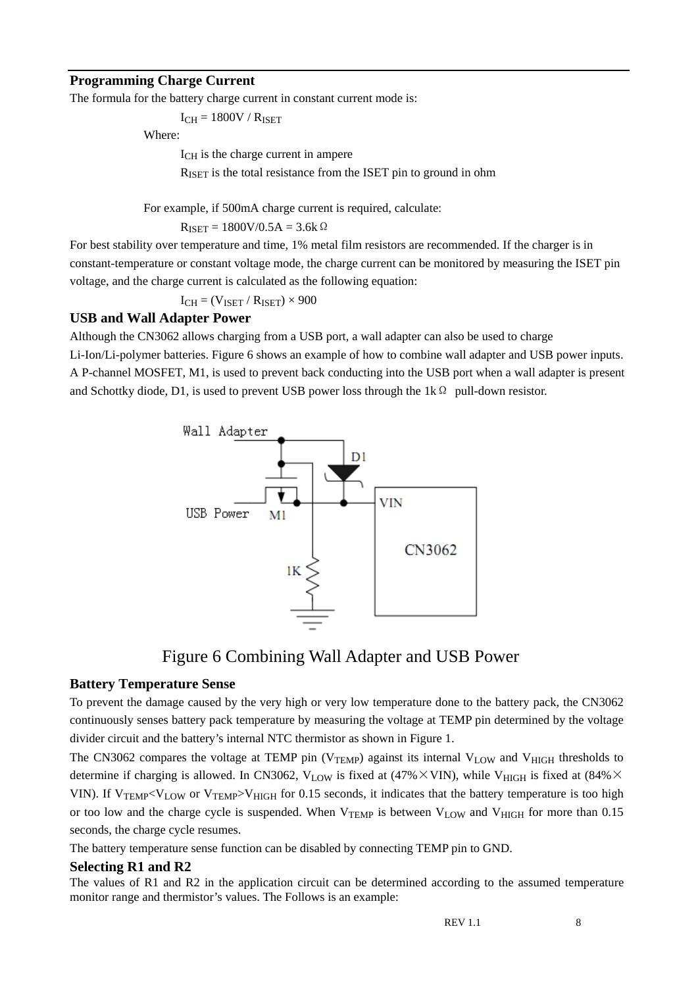#### **Programming Charge Current**

The formula for the battery charge current in constant current mode is:

 $I_{CH} = 1800V / R_{ISET}$ 

Where:

ICH is the charge current in ampere

RISET is the total resistance from the ISET pin to ground in ohm

For example, if 500mA charge current is required, calculate:

 $R_{ISET} = 1800V/0.5A = 3.6k$ 

For best stability over temperature and time, 1% metal film resistors are recommended. If the charger is in constant-temperature or constant voltage mode, the charge current can be monitored by measuring the ISET pin voltage, and the charge current is calculated as the following equation:

 $I_{CH} = (V_{ISET} / R_{ISET}) \times 900$ 

#### **USB and Wall Adapter Power**

Although the CN3062 allows charging from a USB port, a wall adapter can also be used to charge

Li-Ion/Li-polymer batteries. Figure 6 shows an example of how to combine wall adapter and USB power inputs. A P-channel MOSFET, M1, is used to prevent back conducting into the USB port when a wall adapter is present and Schottky diode, D1, is used to prevent USB power loss through the 1k  $\Omega$  pull-down resistor.



### Figure 6 Combining Wall Adapter and USB Power

#### **Battery Temperature Sense**

To prevent the damage caused by the very high or very low temperature done to the battery pack, the CN3062 continuously senses battery pack temperature by measuring the voltage at TEMP pin determined by the voltage divider circuit and the battery's internal NTC thermistor as shown in Figure 1.

The CN3062 compares the voltage at TEMP pin ( $V_{TEMP}$ ) against its internal  $V_{LOW}$  and  $V_{HIGH}$  thresholds to determine if charging is allowed. In CN3062, V<sub>LOW</sub> is fixed at (47%  $\times$  VIN), while V<sub>HIGH</sub> is fixed at (84%  $\times$ VIN). If V<sub>TEMP</sub><V<sub>LOW</sub> or V<sub>TEMP</sub>>V<sub>HIGH</sub> for 0.15 seconds, it indicates that the battery temperature is too high or too low and the charge cycle is suspended. When V<sub>TEMP</sub> is between V<sub>LOW</sub> and V<sub>HIGH</sub> for more than 0.15 seconds, the charge cycle resumes.

The battery temperature sense function can be disabled by connecting TEMP pin to GND.

#### **Selecting R1 and R2**

The values of R1 and R2 in the application circuit can be determined according to the assumed temperature monitor range and thermistor's values. The Follows is an example: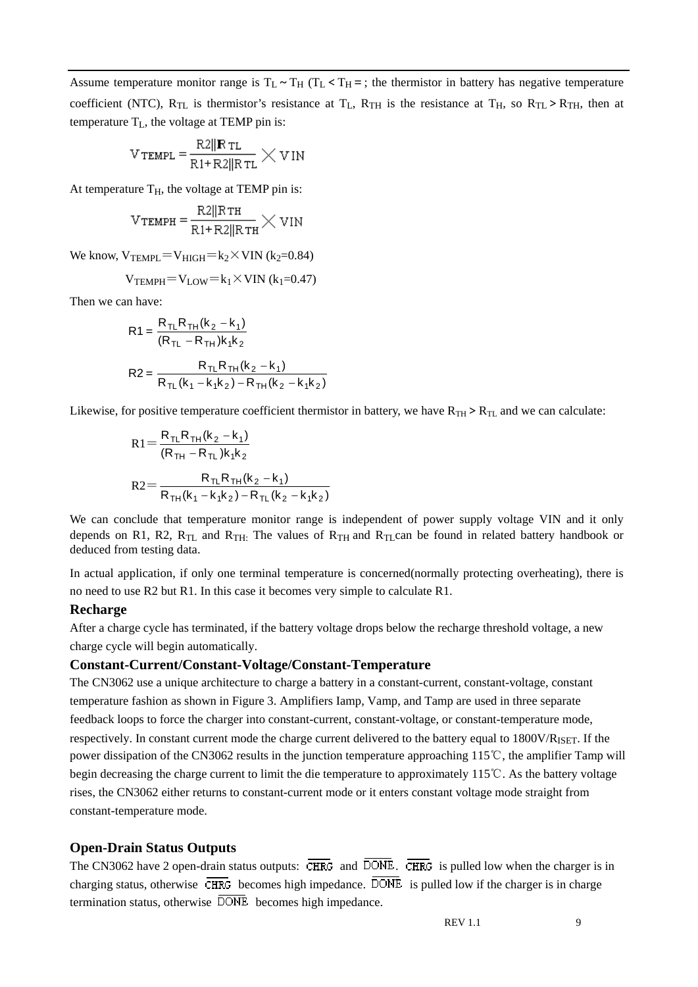Assume temperature monitor range is  $T_L \sim T_H$  ( $T_L < T_H$ =; the thermistor in battery has negative temperature coefficient (NTC),  $R_{TL}$  is thermistor's resistance at  $T_L$ ,  $R_{TH}$  is the resistance at  $T_H$ , so  $R_{TL} > R_{TH}$ , then at temperature  $T_L$ , the voltage at TEMP pin is:

$$
V_{\text{TEMPL}} = \frac{R2||\mathbf{R}_{\text{TL}}}{R1 + R2||R_{\text{TL}}} \times V \text{IN}
$$

At temperature  $T_H$ , the voltage at TEMP pin is:

$$
V_{\text{TEMPH}} = \frac{R2||R\tau_{\text{H}}}{R1 + R2||R\tau_{\text{H}}} \times V1N
$$

We know,  $V_{\text{TEMPI}} = V_{\text{HIGH}} = k_2 \times \text{VIN}$  (k<sub>2</sub>=0.84)

$$
V_{\text{TEMPH}} = V_{\text{LOW}} = k_1 \times \text{VIN} \ (k_1 = 0.47)
$$

Then we can have:

$$
R1 = \frac{R_{TL}R_{TH}(k_2 - k_1)}{(R_{TL} - R_{TH})k_1k_2}
$$
  

$$
R2 = \frac{R_{TL}R_{TH}(k_2 - k_1)}{R_{TL}(k_1 - k_1k_2) - R_{TH}(k_2 - k_1k_2)}
$$

Likewise, for positive temperature coefficient thermistor in battery, we have  $R_{TH}$  >  $R_{TL}$  and we can calculate:

$$
R1 = \frac{R_{TL}R_{TH}(k_2 - k_1)}{(R_{TH} - R_{TL})k_1k_2}
$$
  

$$
R2 = \frac{R_{TL}R_{TH}(k_2 - k_1)}{R_{TH}(k_1 - k_1k_2) - R_{TL}(k_2 - k_1k_2)}
$$

We can conclude that temperature monitor range is independent of power supply voltage VIN and it only depends on R1, R2,  $R_{TL}$  and  $R_{TH}$ . The values of  $R_{TH}$  and  $R_{TL}$ can be found in related battery handbook or deduced from testing data.

In actual application, if only one terminal temperature is concerned(normally protecting overheating), there is no need to use R2 but R1. In this case it becomes very simple to calculate R1.

#### **Recharge**

After a charge cycle has terminated, if the battery voltage drops below the recharge threshold voltage, a new charge cycle will begin automatically.

#### **Constant-Current/Constant-Voltage/Constant-Temperature**

The CN3062 use a unique architecture to charge a battery in a constant-current, constant-voltage, constant temperature fashion as shown in Figure 3. Amplifiers Iamp, Vamp, and Tamp are used in three separate feedback loops to force the charger into constant-current, constant-voltage, or constant-temperature mode, respectively. In constant current mode the charge current delivered to the battery equal to 1800V/R<sub>ISET</sub>. If the power dissipation of the CN3062 results in the junction temperature approaching 115℃, the amplifier Tamp will begin decreasing the charge current to limit the die temperature to approximately 115℃. As the battery voltage rises, the CN3062 either returns to constant-current mode or it enters constant voltage mode straight from constant-temperature mode.

#### **Open-Drain Status Outputs**

The CN3062 have 2 open-drain status outputs:  $\overline{\text{CHRG}}$  and  $\overline{\text{DONE}}$ .  $\overline{\text{CHRG}}$  is pulled low when the charger is in charging status, otherwise  $\overline{\text{CHRG}}$  becomes high impedance.  $\overline{\text{DONE}}$  is pulled low if the charger is in charge termination status, otherwise  $\overline{DONE}$  becomes high impedance.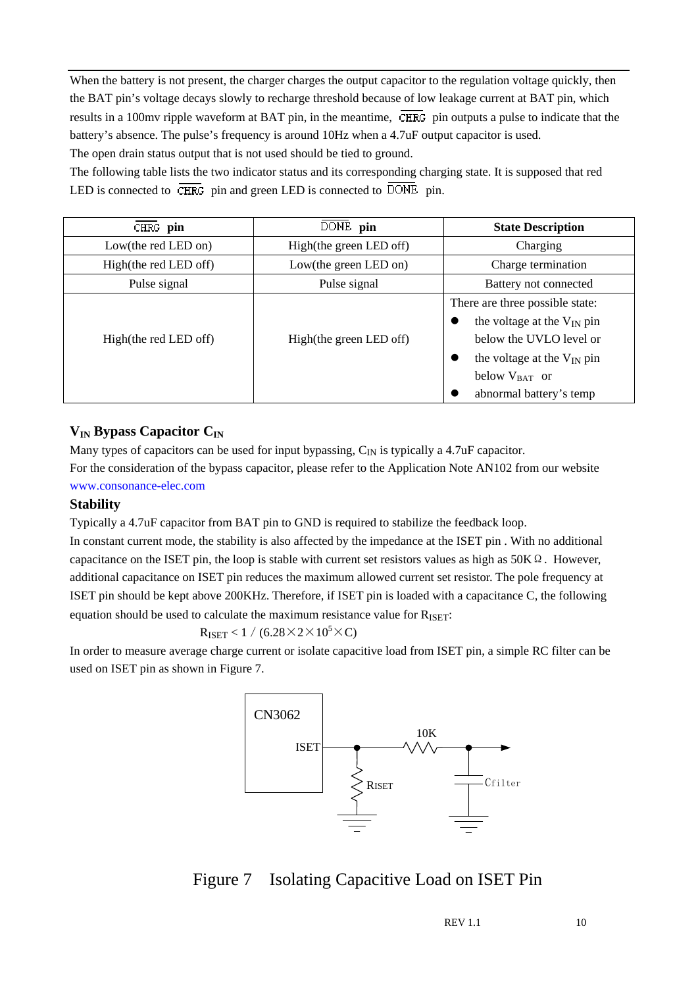When the battery is not present, the charger charges the output capacitor to the regulation voltage quickly, then the BAT pin's voltage decays slowly to recharge threshold because of low leakage current at BAT pin, which results in a 100mv ripple waveform at BAT pin, in the meantime,  $\overline{\text{CHRG}}$  pin outputs a pulse to indicate that the battery's absence. The pulse's frequency is around 10Hz when a 4.7uF output capacitor is used. The open drain status output that is not used should be tied to ground.

The following table lists the two indicator status and its corresponding charging state. It is supposed that red LED is connected to  $\overline{\text{CHRG}}$  pin and green LED is connected to  $\overline{\text{DONE}}$  pin.

| CHRG pin              | DONE pin                | <b>State Description</b>                                                                                                                                                               |
|-----------------------|-------------------------|----------------------------------------------------------------------------------------------------------------------------------------------------------------------------------------|
| Low(the red LED on)   | High(the green LED off) | Charging                                                                                                                                                                               |
| High(the red LED off) | Low(the green LED on)   | Charge termination                                                                                                                                                                     |
| Pulse signal          | Pulse signal            | Battery not connected                                                                                                                                                                  |
| High(the red LED off) | High(the green LED off) | There are three possible state:<br>the voltage at the $V_{IN}$ pin<br>below the UVLO level or<br>the voltage at the $V_{IN}$ pin<br>●<br>below $V_{BAT}$ or<br>abnormal battery's temp |

#### **V<sub>IN</sub> Bypass Capacitor C<sub>IN</sub>**

Many types of capacitors can be used for input bypassing,  $C_{IN}$  is typically a 4.7uF capacitor.

For the consideration of the bypass capacitor, please refer to the Application Note AN102 from our website www.consonance-elec.com

#### **Stability**

Typically a 4.7uF capacitor from BAT pin to GND is required to stabilize the feedback loop.

In constant current mode, the stability is also affected by the impedance at the ISET pin . With no additional capacitance on the ISET pin, the loop is stable with current set resistors values as high as  $50K\Omega$ . However, additional capacitance on ISET pin reduces the maximum allowed current set resistor. The pole frequency at ISET pin should be kept above 200KHz. Therefore, if ISET pin is loaded with a capacitance C, the following equation should be used to calculate the maximum resistance value for  $R_{\text{ISET}}$ :

$$
R_{\text{ISET}} < 1 / (6.28 \times 2 \times 10^5 \times C)
$$

In order to measure average charge current or isolate capacitive load from ISET pin, a simple RC filter can be used on ISET pin as shown in Figure 7.



# Figure 7 Isolating Capacitive Load on ISET Pin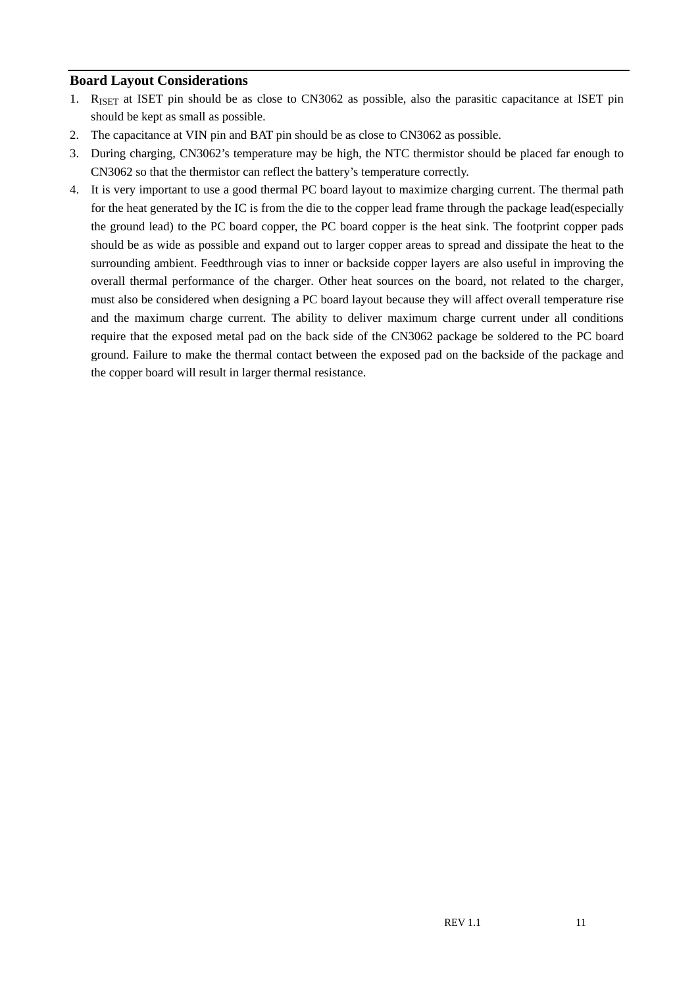#### **Board Layout Considerations**

- 1. RISET at ISET pin should be as close to CN3062 as possible, also the parasitic capacitance at ISET pin should be kept as small as possible.
- 2. The capacitance at VIN pin and BAT pin should be as close to CN3062 as possible.
- 3. During charging, CN3062's temperature may be high, the NTC thermistor should be placed far enough to CN3062 so that the thermistor can reflect the battery's temperature correctly.
- 4. It is very important to use a good thermal PC board layout to maximize charging current. The thermal path for the heat generated by the IC is from the die to the copper lead frame through the package lead(especially the ground lead) to the PC board copper, the PC board copper is the heat sink. The footprint copper pads should be as wide as possible and expand out to larger copper areas to spread and dissipate the heat to the surrounding ambient. Feedthrough vias to inner or backside copper layers are also useful in improving the overall thermal performance of the charger. Other heat sources on the board, not related to the charger, must also be considered when designing a PC board layout because they will affect overall temperature rise and the maximum charge current. The ability to deliver maximum charge current under all conditions require that the exposed metal pad on the back side of the CN3062 package be soldered to the PC board ground. Failure to make the thermal contact between the exposed pad on the backside of the package and the copper board will result in larger thermal resistance.